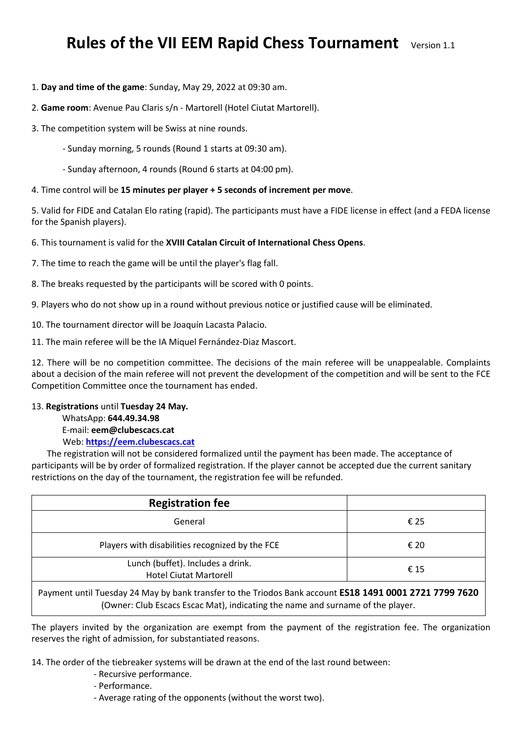# **Rules of the VII EEM Rapid Chess Tournament** Version 1.1

## 1. **Day and time of the game**: Sunday, May 29, 2022 at 09:30 am.

## 2. **Game room**: Avenue Pau Claris s/n - Martorell (Hotel Ciutat Martorell).

- 3. The competition system will be Swiss at nine rounds.
	- Sunday morning, 5 rounds (Round 1 starts at 09:30 am).
	- Sunday afternoon, 4 rounds (Round 6 starts at 04:00 pm).

## 4. Time control will be **15 minutes per player + 5 seconds of increment per move**.

5. Valid for FIDE and Catalan Elo rating (rapid). The participants must have a FIDE license in effect (and a FEDA license for the Spanish players).

6. This tournament is valid for the **[XVIII](http://www.escacscircuit.cat/) Catalan Circuit of [International Chess Opens](http://www.escacscircuit.cat/)**.

7. The time to reach the game will be until the player's flag fall.

8. The breaks requested by the participants will be scored with 0 points.

9. Players who do not show up in a round without previous notice or justified cause will be eliminated.

10. The tournament director will be Joaquín Lacasta Palacio.

11. The main referee will be the IA Miquel Fernández-Diaz Mascort.

12. There will be no competition committee. The decisions of the main referee will be unappealable. Complaints about a decision of the main referee will not prevent the development of the competition and will be sent to the FCE Competition Committee once the tournament has ended.

#### 13. **Registrations** until **Tuesday 24 May.**

WhatsApp: **644.49.34.98** E-mail: **eem@clubescacs.cat** Web: **[https://eem.clubescacs.cat](https://eem.clubescacs.cat/)**

 The registration will not be considered formalized until the payment has been made. The acceptance of participants will be by order of formalized registration. If the player cannot be accepted due the current sanitary restrictions on the day of the tournament, the registration fee will be refunded.

| <b>Registration fee</b>                                                                                                                                                                   |      |
|-------------------------------------------------------------------------------------------------------------------------------------------------------------------------------------------|------|
| General                                                                                                                                                                                   | € 25 |
| Players with disabilities recognized by the FCE                                                                                                                                           | € 20 |
| Lunch (buffet). Includes a drink.<br><b>Hotel Ciutat Martorell</b>                                                                                                                        | € 15 |
| Payment until Tuesday 24 May by bank transfer to the Triodos Bank account ES18 1491 0001 2721 7799 7620<br>(Owner: Club Escacs Escac Mat), indicating the name and surname of the player. |      |

The players invited by the organization are exempt from the payment of the registration fee. The organization reserves the right of admission, for substantiated reasons.

14. The order of the tiebreaker systems will be drawn at the end of the last round between:

- Recursive performance.
- Performance.
- Average rating of the opponents (without the worst two).